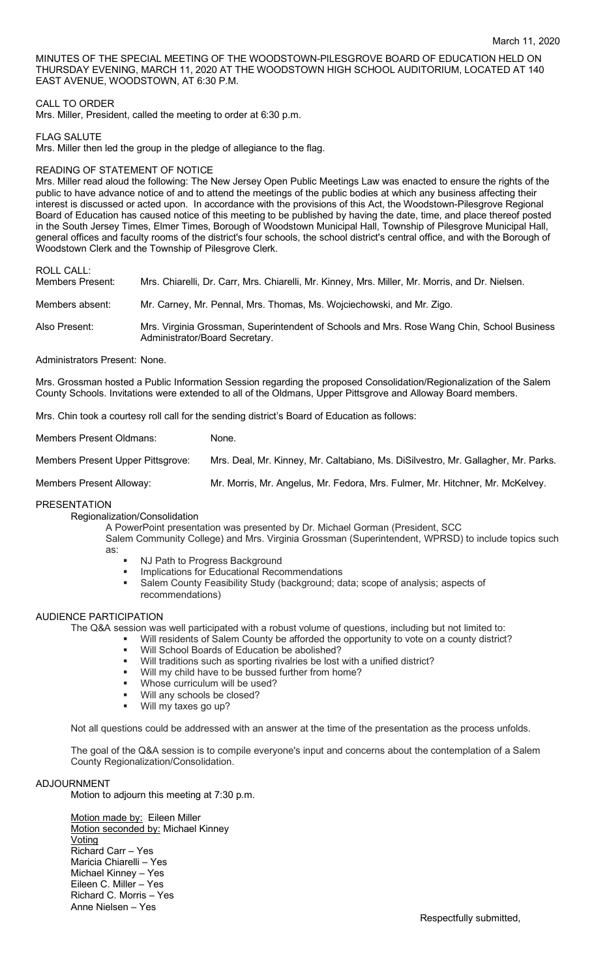MINUTES OF THE SPECIAL MEETING OF THE WOODSTOWN-PILESGROVE BOARD OF EDUCATION HELD ON THURSDAY EVENING, MARCH 11, 2020 AT THE WOODSTOWN HIGH SCHOOL AUDITORIUM, LOCATED AT 140 EAST AVENUE, WOODSTOWN, AT 6:30 P.M.

## CALL TO ORDER

Mrs. Miller, President, called the meeting to order at 6:30 p.m.

FLAG SALUTE

Mrs. Miller then led the group in the pledge of allegiance to the flag.

### READING OF STATEMENT OF NOTICE

Mrs. Miller read aloud the following: The New Jersey Open Public Meetings Law was enacted to ensure the rights of the public to have advance notice of and to attend the meetings of the public bodies at which any business affecting their interest is discussed or acted upon. In accordance with the provisions of this Act, the Woodstown-Pilesgrove Regional Board of Education has caused notice of this meeting to be published by having the date, time, and place thereof posted in the South Jersey Times, Elmer Times, Borough of Woodstown Municipal Hall, Township of Pilesgrove Municipal Hall, general offices and faculty rooms of the district's four schools, the school district's central office, and with the Borough of Woodstown Clerk and the Township of Pilesgrove Clerk.

# ROLL CALL:

| <b>Members Present:</b> | Mrs. Chiarelli, Dr. Carr, Mrs. Chiarelli, Mr. Kinney, Mrs. Miller, Mr. Morris, and Dr. Nielsen.                              |
|-------------------------|------------------------------------------------------------------------------------------------------------------------------|
| Members absent:         | Mr. Carney, Mr. Pennal, Mrs. Thomas, Ms. Wojciechowski, and Mr. Zigo.                                                        |
| Also Present:           | Mrs. Virginia Grossman, Superintendent of Schools and Mrs. Rose Wang Chin, School Business<br>Administrator/Board Secretary. |

Administrators Present: None.

Mrs. Grossman hosted a Public Information Session regarding the proposed Consolidation/Regionalization of the Salem County Schools. Invitations were extended to all of the Oldmans, Upper Pittsgrove and Alloway Board members.

Mrs. Chin took a courtesy roll call for the sending district's Board of Education as follows:

Members Present Oldmans: None.

Members Present Upper Pittsgrove: Mrs. Deal, Mr. Kinney, Mr. Caltabiano, Ms. DiSilvestro, Mr. Gallagher, Mr. Parks.

Members Present Alloway: Mr. Morris, Mr. Angelus, Mr. Fedora, Mrs. Fulmer, Mr. Hitchner, Mr. McKelvey.

### PRESENTATION

Regionalization/Consolidation

A PowerPoint presentation was presented by Dr. Michael Gorman (President, SCC Salem Community College) and Mrs. Virginia Grossman (Superintendent, WPRSD) to include topics such as:

- NJ Path to Progress Background
- **■** Implications for Educational Recommendations
- Salem County Feasibility Study (background; data; scope of analysis; aspects of recommendations)

# AUDIENCE PARTICIPATION

The Q&A session was well participated with a robust volume of questions, including but not limited to:

- § Will residents of Salem County be afforded the opportunity to vote on a county district?
	- Will School Boards of Education be abolished?
	- Will traditions such as sporting rivalries be lost with a unified district?
	- Will my child have to be bussed further from home?
	- Whose curriculum will be used?
	- Will any schools be closed?
	- § Will my taxes go up?

Not all questions could be addressed with an answer at the time of the presentation as the process unfolds.

The goal of the Q&A session is to compile everyone's input and concerns about the contemplation of a Salem County Regionalization/Consolidation.

#### ADJOURNMENT

Motion to adjourn this meeting at 7:30 p.m.

Motion made by: Eileen Miller Motion seconded by: Michael Kinney Voting Richard Carr – Yes Maricia Chiarelli – Yes Michael Kinney – Yes Eileen C. Miller – Yes Richard C. Morris – Yes Anne Nielsen – Yes